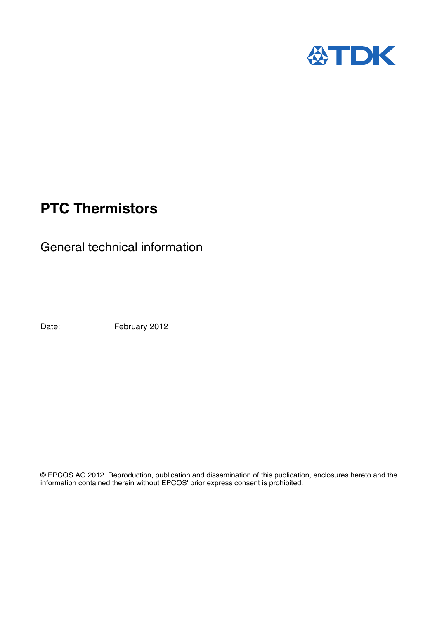

# **PTC Thermistors**

General technical information

Date: February 2012

© EPCOS AG 2012. Reproduction, publication and dissemination of this publication, enclosures hereto and the information contained therein without EPCOS' prior express consent is prohibited.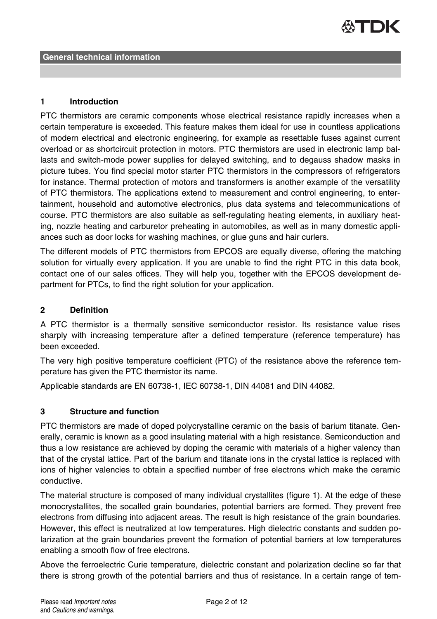# ATDK

#### **1 Introduction**

PTC thermistors are ceramic components whose electrical resistance rapidly increases when a certain temperature is exceeded. This feature makes them ideal for use in countless applications of modern electrical and electronic engineering, for example as resettable fuses against current overload or as shortcircuit protection in motors. PTC thermistors are used in electronic lamp ballasts and switch-mode power supplies for delayed switching, and to degauss shadow masks in picture tubes. You find special motor starter PTC thermistors in the compressors of refrigerators for instance. Thermal protection of motors and transformers is another example of the versatility of PTC thermistors. The applications extend to measurement and control engineering, to entertainment, household and automotive electronics, plus data systems and telecommunications of course. PTC thermistors are also suitable as self-regulating heating elements, in auxiliary heating, nozzle heating and carburetor preheating in automobiles, as well as in many domestic appliances such as door locks for washing machines, or glue guns and hair curlers.

The different models of PTC thermistors from EPCOS are equally diverse, offering the matching solution for virtually every application. If you are unable to find the right PTC in this data book, contact one of our sales offices. They will help you, together with the EPCOS development department for PTCs, to find the right solution for your application.

### **2 Definition**

A PTC thermistor is a thermally sensitive semiconductor resistor. Its resistance value rises sharply with increasing temperature after a defined temperature (reference temperature) has been exceeded.

The very high positive temperature coefficient (PTC) of the resistance above the reference temperature has given the PTC thermistor its name.

Applicable standards are EN 60738-1, IEC 60738-1, DIN 44081 and DIN 44082.

# **3 Structure and function**

PTC thermistors are made of doped polycrystalline ceramic on the basis of barium titanate. Generally, ceramic is known as a good insulating material with a high resistance. Semiconduction and thus a low resistance are achieved by doping the ceramic with materials of a higher valency than that of the crystal lattice. Part of the barium and titanate ions in the crystal lattice is replaced with ions of higher valencies to obtain a specified number of free electrons which make the ceramic conductive.

The material structure is composed of many individual crystallites (figure 1). At the edge of these monocrystallites, the socalled grain boundaries, potential barriers are formed. They prevent free electrons from diffusing into adjacent areas. The result is high resistance of the grain boundaries. However, this effect is neutralized at low temperatures. High dielectric constants and sudden polarization at the grain boundaries prevent the formation of potential barriers at low temperatures enabling a smooth flow of free electrons.

Above the ferroelectric Curie temperature, dielectric constant and polarization decline so far that there is strong growth of the potential barriers and thus of resistance. In a certain range of tem-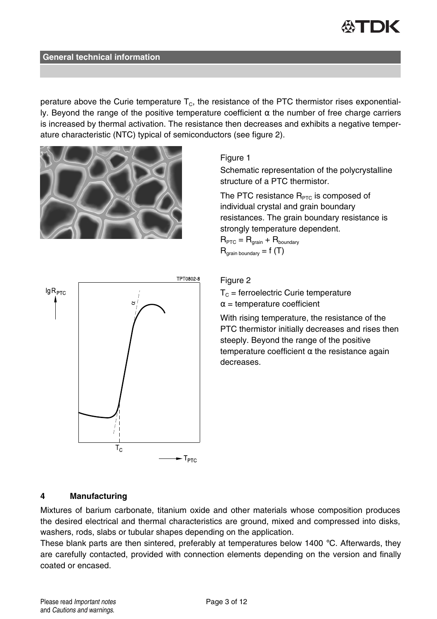perature above the Curie temperature  $T_c$ , the resistance of the PTC thermistor rises exponentially. Beyond the range of the positive temperature coefficient α the number of free charge carriers is increased by thermal activation. The resistance then decreases and exhibits a negative temperature characteristic (NTC) typical of semiconductors (see figure 2).



# Figure 1

Schematic representation of the polycrystalline structure of a PTC thermistor.

The PTC resistance  $R_{\text{PTC}}$  is composed of individual crystal and grain boundary resistances. The grain boundary resistance is strongly temperature dependent.

 $R_{\text{PTC}} = R_{\text{train}} + R_{\text{boundary}}$  $R_{\text{train boundary}} = f(T)$ 



#### Figure 2

 $T_c$  = ferroelectric Curie temperature  $\alpha$  = temperature coefficient

With rising temperature, the resistance of the PTC thermistor initially decreases and rises then steeply. Beyond the range of the positive temperature coefficient  $\alpha$  the resistance again decreases.

# **4 Manufacturing**

Mixtures of barium carbonate, titanium oxide and other materials whose composition produces the desired electrical and thermal characteristics are ground, mixed and compressed into disks, washers, rods, slabs or tubular shapes depending on the application.

These blank parts are then sintered, preferably at temperatures below 1400  $\degree$ C. Afterwards, they are carefully contacted, provided with connection elements depending on the version and finally coated or encased.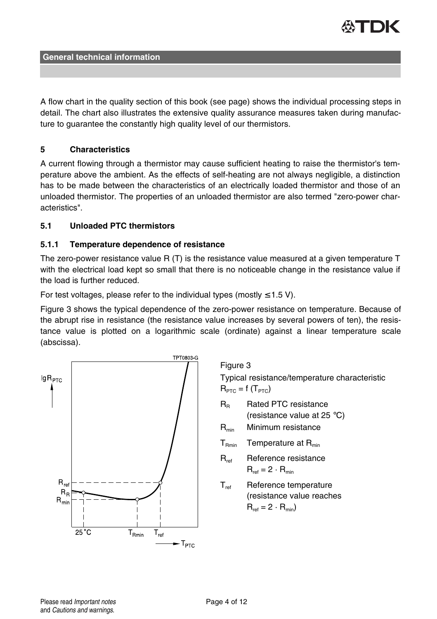

A flow chart in the quality section of this book (see page) shows the individual processing steps in detail. The chart also illustrates the extensive quality assurance measures taken during manufacture to guarantee the constantly high quality level of our thermistors.

# **5 Characteristics**

A current flowing through a thermistor may cause sufficient heating to raise the thermistor's temperature above the ambient. As the effects of self-heating are not always negligible, a distinction has to be made between the characteristics of an electrically loaded thermistor and those of an unloaded thermistor. The properties of an unloaded thermistor are also termed "zero-power characteristics".

#### **5.1 Unloaded PTC thermistors**

#### **5.1.1 Temperature dependence of resistance**

The zero-power resistance value R (T) is the resistance value measured at a given temperature T with the electrical load kept so small that there is no noticeable change in the resistance value if the load is further reduced.

For test voltages, please refer to the individual types (mostly  $\leq 1.5$  V).

Figure 3 shows the typical dependence of the zero-power resistance on temperature. Because of the abrupt rise in resistance (the resistance value increases by several powers of ten), the resistance value is plotted on a logarithmic scale (ordinate) against a linear temperature scale (abscissa).



Figure 3

Typical resistance/temperature characteristic  $R_{\text{PTC}} = f(T_{\text{PTC}})$ 

- R<sub>R</sub> Rated PTC resistance (resistance value at 25 °C)
- $R_{min}$  Minimum resistance
- $T<sub>Rmin</sub>$  Temperature at  $R<sub>min</sub>$
- R<sub>ref</sub> Reference resistance  $R_{ref} = 2 \cdot R_{min}$
- T<sub>ref</sub> Reference temperature (resistance value reaches  $R_{ref} = 2 \cdot R_{min}$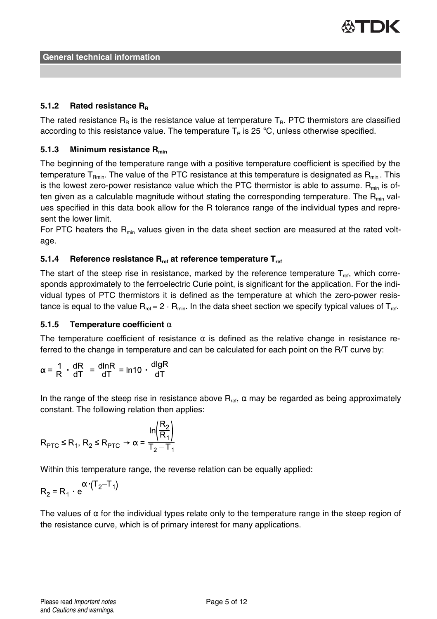

### **5.1.2 Rated resistance R<sup>R</sup>**

The rated resistance  $R_R$  is the resistance value at temperature  $T_R$ . PTC thermistors are classified according to this resistance value. The temperature  $T_R$  is 25 °C, unless otherwise specified.

# **5.1.3 Minimum resistance Rmin**

The beginning of the temperature range with a positive temperature coefficient is specified by the temperature T<sub>Pmin</sub>. The value of the PTC resistance at this temperature is designated as  $R_{min}$ . This is the lowest zero-power resistance value which the PTC thermistor is able to assume.  $R_{min}$  is often given as a calculable magnitude without stating the corresponding temperature. The  $R_{min}$  values specified in this data book allow for the R tolerance range of the individual types and represent the lower limit.

For PTC heaters the  $R<sub>min</sub>$  values given in the data sheet section are measured at the rated voltage.

### **5.1.4 Reference resistance Rref at reference temperature Tref**

The start of the steep rise in resistance, marked by the reference temperature  $T_{\text{ref}}$ , which corresponds approximately to the ferroelectric Curie point, is significant for the application. For the individual types of PTC thermistors it is defined as the temperature at which the zero-power resistance is equal to the value  $R_{ref} = 2 \cdot R_{min}$ . In the data sheet section we specify typical values of  $T_{ref}$ .

#### **5.1.5 Temperature coefficient** α

The temperature coefficient of resistance  $\alpha$  is defined as the relative change in resistance referred to the change in temperature and can be calculated for each point on the R/T curve by:

$$
\alpha = \frac{1}{R} \cdot \frac{dR}{dT} = \frac{dlnR}{dT} = ln10 \cdot \frac{dlgR}{dT}
$$

In the range of the steep rise in resistance above  $R_{\text{ref}}$ ,  $\alpha$  may be regarded as being approximately constant. The following relation then applies:

$$
R_{\text{PTC}} \le R_1, R_2 \le R_{\text{PTC}} \rightarrow \alpha = \frac{\ln\left(\frac{R_2}{R_1}\right)}{T_2 - T_1}
$$

Within this temperature range, the reverse relation can be equally applied:

$$
R_2 = R_1 \cdot e^{(\text{T}_2 - \text{T}_1)}
$$

The values of  $\alpha$  for the individual types relate only to the temperature range in the steep region of the resistance curve, which is of primary interest for many applications.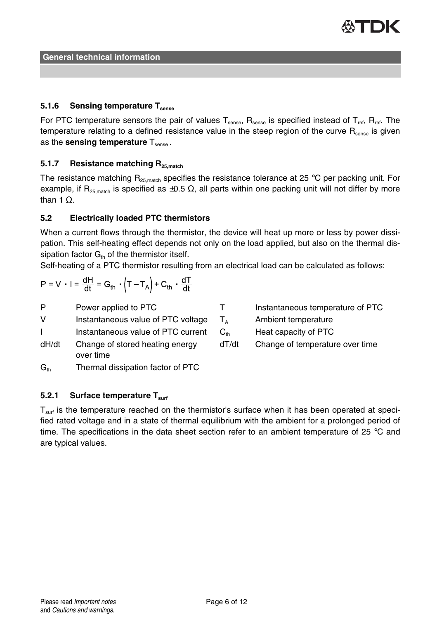

# **5.1.6 Sensing temperature Tsense**

For PTC temperature sensors the pair of values  $T_{\text{sense}}$ ,  $R_{\text{sense}}$  is specified instead of  $T_{\text{ref}}$ ,  $R_{\text{ref}}$ . The temperature relating to a defined resistance value in the steep region of the curve R<sub>sense</sub> is given as the **sensing temperature** T<sub>sense</sub>.

# **5.1.7 Resistance matching R25,match**

The resistance matching  $R_{25,match}$  specifies the resistance tolerance at 25 °C per packing unit. For example, if R<sub>25,match</sub> is specified as  $\pm 0.5 \Omega$ , all parts within one packing unit will not differ by more than 1  $Ω$ .

#### **5.2 Electrically loaded PTC thermistors**

When a current flows through the thermistor, the device will heat up more or less by power dissipation. This self-heating effect depends not only on the load applied, but also on the thermal dissipation factor  $G<sub>th</sub>$  of the thermistor itself.

Self-heating of a PTC thermistor resulting from an electrical load can be calculated as follows:

$$
P = V \cdot I = \frac{dH}{dt} = G_{th} \cdot \left( T - T_A \right) + C_{th} \cdot \frac{dT}{dt}
$$

P Power applied to PTC

V Instantaneous value of PTC voltage

I Instantaneous value of PTC current

- dH/dt Change of stored heating energy over time
- $G<sub>th</sub>$  Thermal dissipation factor of PTC

# **5.2.1 Surface temperature Tsurf**

 $T<sub>surf</sub>$  is the temperature reached on the thermistor's surface when it has been operated at specified rated voltage and in a state of thermal equilibrium with the ambient for a prolonged period of time. The specifications in the data sheet section refer to an ambient temperature of 25 °C and are typical values.

| т        | Instantaneous temperature of PTC |
|----------|----------------------------------|
| $T_A$    | Ambient temperature              |
| $C_{th}$ | Heat capacity of PTC             |
| dT/dt    | Change of temperature over time  |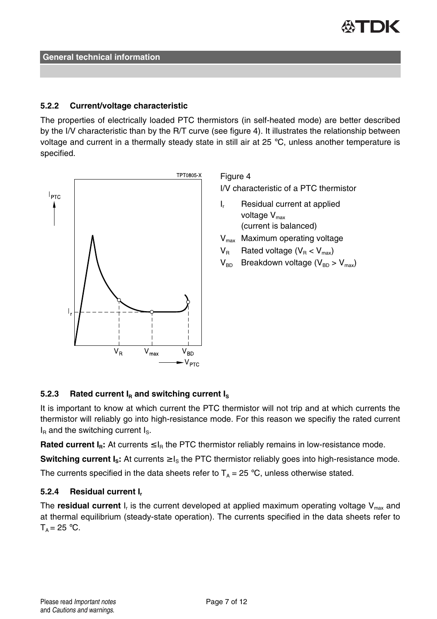

### **5.2.2 Current/voltage characteristic**

The properties of electrically loaded PTC thermistors (in self-heated mode) are better described by the I/V characteristic than by the R/T curve (see figure 4). It illustrates the relationship between voltage and current in a thermally steady state in still air at 25 °C, unless another temperature is specified.



Figure 4

I/V characteristic of a PTC thermistor

- I. Residual current at applied voltage  $V_{\text{max}}$ (current is balanced)
- $V_{\text{max}}$  Maximum operating voltage
- $V_B$  Rated voltage ( $V_B < V_{max}$ )
- $V_{BD}$  Breakdown voltage ( $V_{BD} > V_{max}$ )

# **5.2.3** Rated current  $I<sub>B</sub>$  and switching current  $I<sub>S</sub>$

It is important to know at which current the PTC thermistor will not trip and at which currents the thermistor will reliably go into high-resistance mode. For this reason we specifiy the rated current  $I<sub>B</sub>$  and the switching current  $I<sub>S</sub>$ .

**Rated current**  $I_R$ **: At currents**  $\leq I_R$  **the PTC thermistor reliably remains in low-resistance mode.** 

**Switching current**  $I_s$ **: At currents**  $\geq I_s$  **the PTC thermistor reliably goes into high-resistance mode.** 

The currents specified in the data sheets refer to  $T_A = 25 \degree C$ , unless otherwise stated.

### **5.2.4 Residual current I<sup>r</sup>**

The **residual current** I<sub>r</sub> is the current developed at applied maximum operating voltage V<sub>max</sub> and at thermal equilibrium (steady-state operation). The currents specified in the data sheets refer to  $T_A = 25$  °C.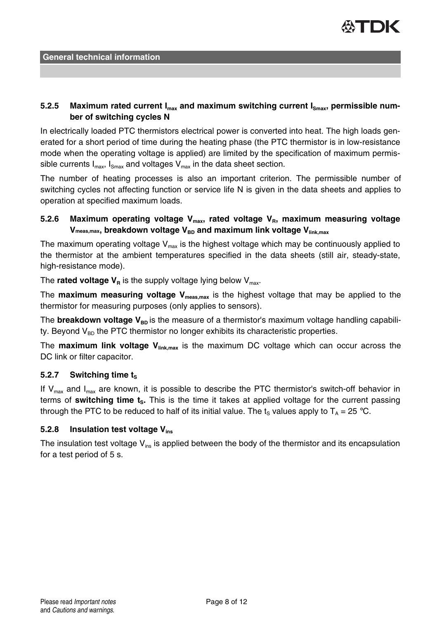

# 5.2.5 Maximum rated current I<sub>max</sub> and maximum switching current I<sub>smax</sub>, permissible num**ber of switching cycles N**

In electrically loaded PTC thermistors electrical power is converted into heat. The high loads generated for a short period of time during the heating phase (the PTC thermistor is in low-resistance mode when the operating voltage is applied) are limited by the specification of maximum permissible currents  $I_{max}$ ,  $I_{Smax}$  and voltages  $V_{max}$  in the data sheet section.

The number of heating processes is also an important criterion. The permissible number of switching cycles not affecting function or service life N is given in the data sheets and applies to operation at specified maximum loads.

# **5.2.6 Maximum operating voltage Vmax, rated voltage VR, maximum measuring voltage V**<sub>meas,max</sub>, breakdown voltage V<sub>BD</sub> and maximum link voltage V<sub>link,max</sub>

The maximum operating voltage  $V_{\text{max}}$  is the highest voltage which may be continuously applied to the thermistor at the ambient temperatures specified in the data sheets (still air, steady-state, high-resistance mode).

The **rated voltage**  $V_R$  is the supply voltage lying below  $V_{\text{max}}$ .

The **maximum measuring voltage Vmeas,max** is the highest voltage that may be applied to the thermistor for measuring purposes (only applies to sensors).

The **breakdown voltage V**<sub>BD</sub> is the measure of a thermistor's maximum voltage handling capability. Beyond  $V_{BD}$  the PTC thermistor no longer exhibits its characteristic properties.

The **maximum link voltage Vlink,max** is the maximum DC voltage which can occur across the DC link or filter capacitor.

# **5.2.7** Switching time t<sub>s</sub>

If  $V_{\text{max}}$  and  $I_{\text{max}}$  are known, it is possible to describe the PTC thermistor's switch-off behavior in terms of **switching time tS.** This is the time it takes at applied voltage for the current passing through the PTC to be reduced to half of its initial value. The t<sub>s</sub> values apply to  $T_A = 25 \degree C$ .

#### **5.2.8 Insulation test voltage Vins**

The insulation test voltage  $V_{ins}$  is applied between the body of the thermistor and its encapsulation for a test period of 5 s.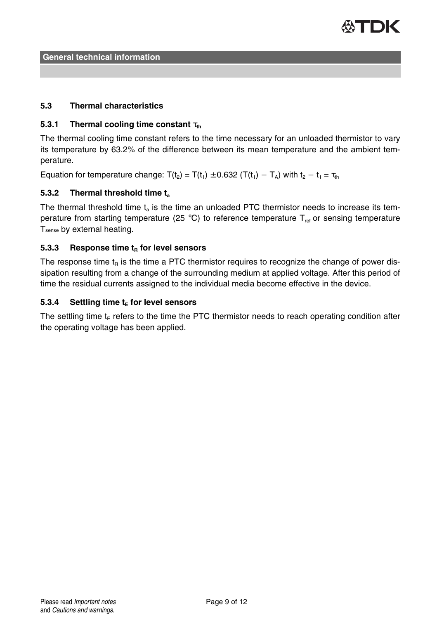

### **5.3 Thermal characteristics**

### **5.3.1 Thermal cooling time constant** τ<sub>th</sub>

The thermal cooling time constant refers to the time necessary for an unloaded thermistor to vary its temperature by 63.2% of the difference between its mean temperature and the ambient temperature.

Equation for temperature change:  $T(t_2) = T(t_1) \pm 0.632$  ( $T(t_1) - T_A$ ) with  $t_2 - t_1 = \tau_{th}$ 

# **5.3.2 Thermal threshold time t<sup>a</sup>**

The thermal threshold time  $t_a$  is the time an unloaded PTC thermistor needs to increase its temperature from starting temperature (25 °C) to reference temperature  $T_{ref}$  or sensing temperature Tsense by external heating.

#### **5.3.3 Response time t<sup>R</sup> for level sensors**

The response time  $t<sub>p</sub>$  is the time a PTC thermistor requires to recognize the change of power dissipation resulting from a change of the surrounding medium at applied voltage. After this period of time the residual currents assigned to the individual media become effective in the device.

#### **5.3.4 Settling time t<sup>E</sup> for level sensors**

The settling time  $t<sub>F</sub>$  refers to the time the PTC thermistor needs to reach operating condition after the operating voltage has been applied.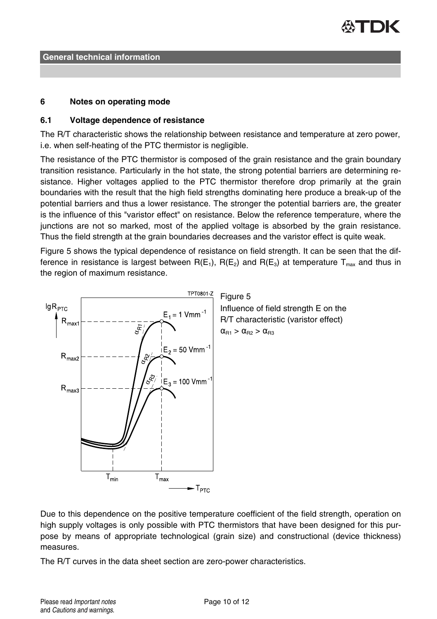

#### **6 Notes on operating mode**

#### **6.1 Voltage dependence of resistance**

The R/T characteristic shows the relationship between resistance and temperature at zero power, i.e. when self-heating of the PTC thermistor is negligible.

The resistance of the PTC thermistor is composed of the grain resistance and the grain boundary transition resistance. Particularly in the hot state, the strong potential barriers are determining resistance. Higher voltages applied to the PTC thermistor therefore drop primarily at the grain boundaries with the result that the high field strengths dominating here produce a break-up of the potential barriers and thus a lower resistance. The stronger the potential barriers are, the greater is the influence of this "varistor effect" on resistance. Below the reference temperature, where the junctions are not so marked, most of the applied voltage is absorbed by the grain resistance. Thus the field strength at the grain boundaries decreases and the varistor effect is quite weak.

Figure 5 shows the typical dependence of resistance on field strength. It can be seen that the difference in resistance is largest between  $R(E_1)$ ,  $R(E_2)$  and  $R(E_3)$  at temperature  $T_{\text{max}}$  and thus in the region of maximum resistance.



Due to this dependence on the positive temperature coefficient of the field strength, operation on high supply voltages is only possible with PTC thermistors that have been designed for this purpose by means of appropriate technological (grain size) and constructional (device thickness) measures.

The R/T curves in the data sheet section are zero-power characteristics.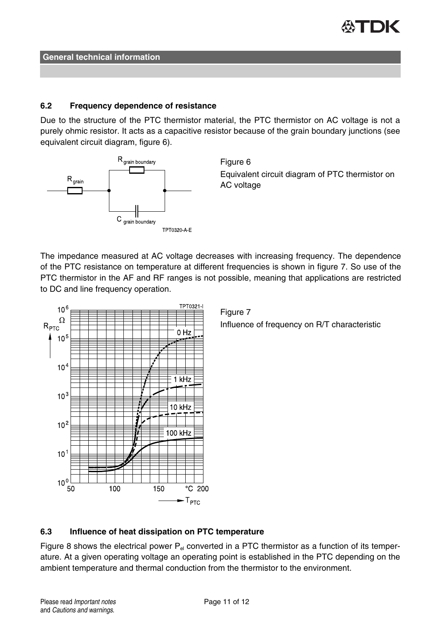

#### **6.2 Frequency dependence of resistance**

Due to the structure of the PTC thermistor material, the PTC thermistor on AC voltage is not a purely ohmic resistor. It acts as a capacitive resistor because of the grain boundary junctions (see equivalent circuit diagram, figure 6).



Figure 6 Equivalent circuit diagram of PTC thermistor on AC voltage

The impedance measured at AC voltage decreases with increasing frequency. The dependence of the PTC resistance on temperature at different frequencies is shown in figure 7. So use of the PTC thermistor in the AF and RF ranges is not possible, meaning that applications are restricted to DC and line frequency operation.



Figure 7 Influence of frequency on R/T characteristic

# **6.3 Influence of heat dissipation on PTC temperature**

Figure 8 shows the electrical power  $P_{el}$  converted in a PTC thermistor as a function of its temperature. At a given operating voltage an operating point is established in the PTC depending on the ambient temperature and thermal conduction from the thermistor to the environment.